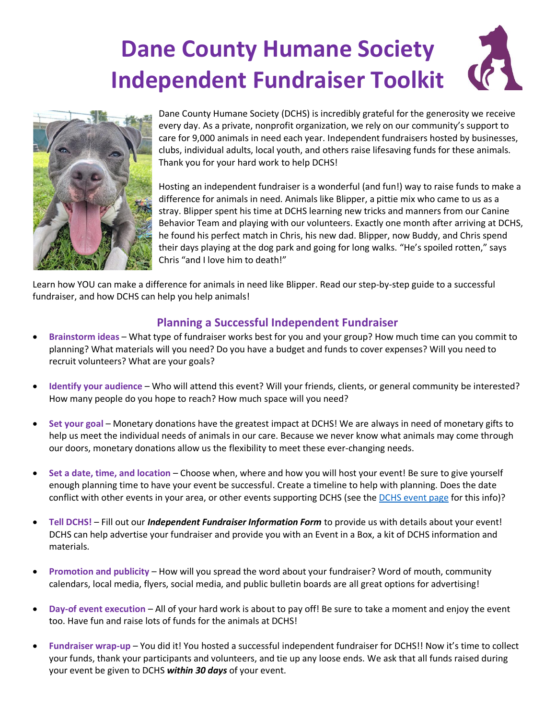# **Dane County Humane Society Independent Fundraiser Toolkit**



Dane County Humane Society (DCHS) is incredibly grateful for the generosity we receive every day. As a private, nonprofit organization, we rely on our community's support to care for 9,000 animals in need each year. Independent fundraisers hosted by businesses, clubs, individual adults, local youth, and others raise lifesaving funds for these animals. Thank you for your hard work to help DCHS!

Hosting an independent fundraiser is a wonderful (and fun!) way to raise funds to make a difference for animals in need. Animals like Blipper, a pittie mix who came to us as a stray. Blipper spent his time at DCHS learning new tricks and manners from our Canine Behavior Team and playing with our volunteers. Exactly one month after arriving at DCHS, he found his perfect match in Chris, his new dad. Blipper, now Buddy, and Chris spend their days playing at the dog park and going for long walks. "He's spoiled rotten," says Chris "and I love him to death!"

Learn how YOU can make a difference for animals in need like Blipper. Read our step-by-step guide to a successful fundraiser, and how DCHS can help you help animals!

## **Planning a Successful Independent Fundraiser**

- **Brainstorm ideas** What type of fundraiser works best for you and your group? How much time can you commit to planning? What materials will you need? Do you have a budget and funds to cover expenses? Will you need to recruit volunteers? What are your goals?
- **Identify your audience** Who will attend this event? Will your friends, clients, or general community be interested? How many people do you hope to reach? How much space will you need?
- **Set your goal** Monetary donations have the greatest impact at DCHS! We are always in need of monetary gifts to help us meet the individual needs of animals in our care. Because we never know what animals may come through our doors, monetary donations allow us the flexibility to meet these ever-changing needs.
- **Set a date, time, and location** Choose when, where and how you will host your event! Be sure to give yourself enough planning time to have your event be successful. Create a timeline to help with planning. Does the date conflict with other events in your area, or other events supporting DCHS (see th[e DCHS event page](https://www.giveshelter.org/events) for this info)?
- **Tell DCHS!** Fill out our *Independent Fundraiser Information Form* to provide us with details about your event! DCHS can help advertise your fundraiser and provide you with an Event in a Box, a kit of DCHS information and materials.
- **Promotion and publicity** How will you spread the word about your fundraiser? Word of mouth, community calendars, local media, flyers, social media, and public bulletin boards are all great options for advertising!
- **Day-of event execution** All of your hard work is about to pay off! Be sure to take a moment and enjoy the event too. Have fun and raise lots of funds for the animals at DCHS!
- **Fundraiser wrap-up** You did it! You hosted a successful independent fundraiser for DCHS!! Now it's time to collect your funds, thank your participants and volunteers, and tie up any loose ends. We ask that all funds raised during your event be given to DCHS *within 30 days* of your event.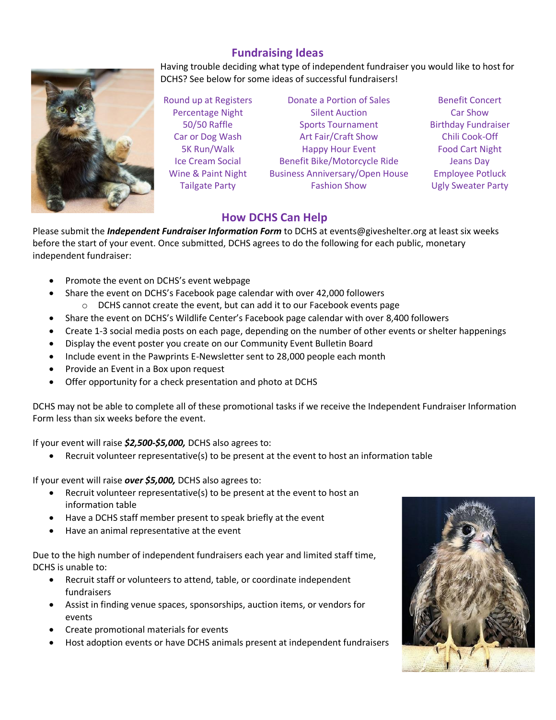## **Fundraising Ideas**



Having trouble deciding what type of independent fundraiser you would like to host for DCHS? See below for some ideas of successful fundraisers!

Round up at Registers **Donate a Portion of Sales** Benefit Concert Percentage Night **Silent Auction** Car Show 50/50 Raffle Sports Tournament Birthday Fundraiser Car or Dog Wash Art Fair/Craft Show Chili Cook-Off 5K Run/Walk Happy Hour Event Food Cart Night Ice Cream Social Benefit Bike/Motorcycle Ride Beans Day Wine & Paint Night Business Anniversary/Open House Employee Potluck Tailgate Party **Fashion Show** Ugly Sweater Party

## **How DCHS Can Help**

Please submit the *Independent Fundraiser Information Form* to DCHS at events@giveshelter.org at least six weeks before the start of your event. Once submitted, DCHS agrees to do the following for each public, monetary independent fundraiser:

- Promote the event on DCHS's event webpage
	- Share the event on DCHS's Facebook page calendar with over 42,000 followers
		- $\circ$  DCHS cannot create the event, but can add it to our Facebook events page
- Share the event on DCHS's Wildlife Center's Facebook page calendar with over 8,400 followers
- Create 1-3 social media posts on each page, depending on the number of other events or shelter happenings
- Display the event poster you create on our Community Event Bulletin Board
- Include event in the Pawprints E-Newsletter sent to 28,000 people each month
- Provide an Event in a Box upon request
- Offer opportunity for a check presentation and photo at DCHS

DCHS may not be able to complete all of these promotional tasks if we receive the Independent Fundraiser Information Form less than six weeks before the event.

If your event will raise *\$2,500-\$5,000,* DCHS also agrees to:

Recruit volunteer representative(s) to be present at the event to host an information table

If your event will raise *over \$5,000,* DCHS also agrees to:

- Recruit volunteer representative(s) to be present at the event to host an information table
- Have a DCHS staff member present to speak briefly at the event
- Have an animal representative at the event

Due to the high number of independent fundraisers each year and limited staff time, DCHS is unable to:

- Recruit staff or volunteers to attend, table, or coordinate independent fundraisers
- Assist in finding venue spaces, sponsorships, auction items, or vendors for events
- Create promotional materials for events
- Host adoption events or have DCHS animals present at independent fundraisers

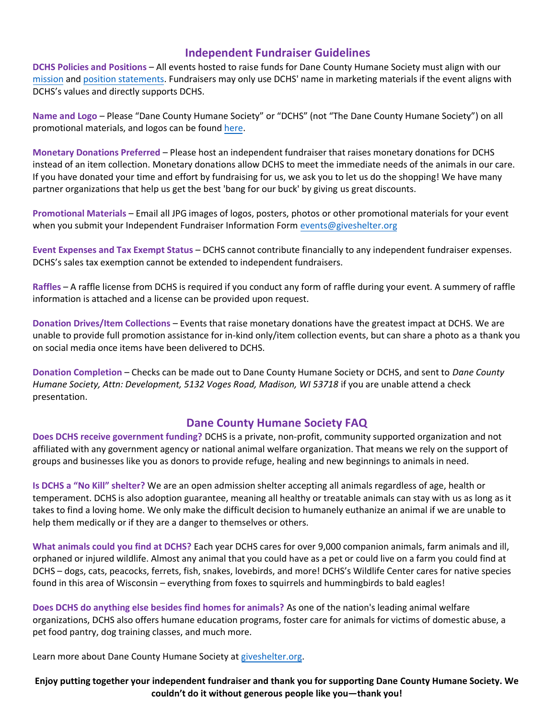### **Independent Fundraiser Guidelines**

**DCHS Policies and Positions** – All events hosted to raise funds for Dane County Humane Society must align with our [mission](https://www.giveshelter.org/about-dchs/mission-and-values) and [position statements.](https://www.giveshelter.org/about-dchs/board-meetings-policies) Fundraisers may only use DCHS' name in marketing materials if the event aligns with DCHS's values and directly supports DCHS.

**Name and Logo** – Please "Dane County Humane Society" or "DCHS" (not "The Dane County Humane Society") on all promotional materials, and logos can be found [here.](https://www.flickr.com/gp/dchsgiveshelter/W1u314)

**Monetary Donations Preferred** – Please host an independent fundraiser that raises monetary donations for DCHS instead of an item collection. Monetary donations allow DCHS to meet the immediate needs of the animals in our care. If you have donated your time and effort by fundraising for us, we ask you to let us do the shopping! We have many partner organizations that help us get the best 'bang for our buck' by giving us great discounts.

**Promotional Materials** – Email all JPG images of logos, posters, photos or other promotional materials for your event when you submit your Independent Fundraiser Information Form events@[giveshelter.org](mailto:acollins@giveshelter.org) 

**Event Expenses and Tax Exempt Status** – DCHS cannot contribute financially to any independent fundraiser expenses. DCHS's sales tax exemption cannot be extended to independent fundraisers.

**Raffles** – A raffle license from DCHS is required if you conduct any form of raffle during your event. A summery of raffle information is attached and a license can be provided upon request.

**Donation Drives/Item Collections** – Events that raise monetary donations have the greatest impact at DCHS. We are unable to provide full promotion assistance for in-kind only/item collection events, but can share a photo as a thank you on social media once items have been delivered to DCHS.

**Donation Completion** – Checks can be made out to Dane County Humane Society or DCHS, and sent to *Dane County Humane Society, Attn: Development, 5132 Voges Road, Madison, WI 53718* if you are unable attend a check presentation.

### **Dane County Humane Society FAQ**

**Does DCHS receive government funding?** DCHS is a private, non-profit, community supported organization and not affiliated with any government agency or national animal welfare organization. That means we rely on the support of groups and businesses like you as donors to provide refuge, healing and new beginnings to animals in need.

**Is DCHS a "No Kill" shelter?** We are an open admission shelter accepting all animals regardless of age, health or temperament. DCHS is also adoption guarantee, meaning all healthy or treatable animals can stay with us as long as it takes to find a loving home. We only make the difficult decision to humanely euthanize an animal if we are unable to help them medically or if they are a danger to themselves or others.

**What animals could you find at DCHS?** Each year DCHS cares for over 9,000 companion animals, farm animals and ill, orphaned or injured wildlife. Almost any animal that you could have as a pet or could live on a farm you could find at DCHS – dogs, cats, peacocks, ferrets, fish, snakes, lovebirds, and more! DCHS's Wildlife Center cares for native species found in this area of Wisconsin – everything from foxes to squirrels and hummingbirds to bald eagles!

**Does DCHS do anything else besides find homes for animals?** As one of the nation's leading animal welfare organizations, DCHS also offers humane education programs, foster care for animals for victims of domestic abuse, a pet food pantry, dog training classes, and much more.

Learn more about Dane County Humane Society at giveshelter.org.

**Enjoy putting together your independent fundraiser and thank you for supporting Dane County Humane Society. We couldn't do it without generous people like you—thank you!**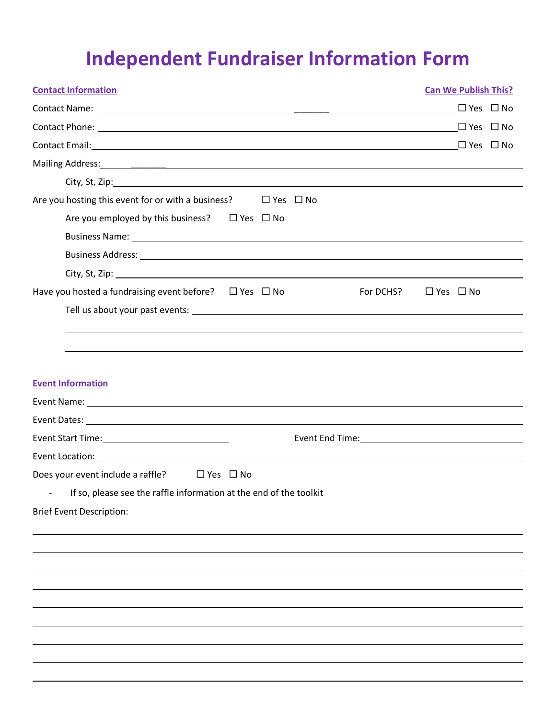## **Independent Fundraiser Information Form**

| <b>Contact Information</b>                                                                                                                                                                                                           | <b>Can We Publish This?</b> |
|--------------------------------------------------------------------------------------------------------------------------------------------------------------------------------------------------------------------------------------|-----------------------------|
|                                                                                                                                                                                                                                      | $\Box$ Yes $\Box$ No        |
|                                                                                                                                                                                                                                      | $\Box$ Yes $\Box$ No        |
| Contact Email: 1990 1990 1990 1991 1991 1992 1994 1994 1994 1994 1995 1996 1997 1998 1999 1999 1999 1999 1999                                                                                                                        | $\Box$ Yes $\Box$ No        |
|                                                                                                                                                                                                                                      |                             |
|                                                                                                                                                                                                                                      |                             |
| Are you hosting this event for or with a business? $\Box$ Yes $\Box$ No                                                                                                                                                              |                             |
| Are you employed by this business? $\Box$ Yes $\Box$ No                                                                                                                                                                              |                             |
|                                                                                                                                                                                                                                      |                             |
|                                                                                                                                                                                                                                      |                             |
|                                                                                                                                                                                                                                      |                             |
| Have you hosted a fundraising event before? $\Box$ Yes $\Box$ No<br>For DCHS?                                                                                                                                                        | $\Box$ Yes $\Box$ No        |
|                                                                                                                                                                                                                                      |                             |
|                                                                                                                                                                                                                                      |                             |
| <b>Event Information</b>                                                                                                                                                                                                             |                             |
| Event Dates: <u>executive and the contract of the contract of the contract of the contract of the contract of the contract of the contract of the contract of the contract of the contract of the contract of the contract of th</u> |                             |
|                                                                                                                                                                                                                                      |                             |
|                                                                                                                                                                                                                                      |                             |
| Does your event include a raffle? $\Box$ Yes $\Box$ No                                                                                                                                                                               |                             |
| If so, please see the raffle information at the end of the toolkit                                                                                                                                                                   |                             |
| <b>Brief Event Description:</b>                                                                                                                                                                                                      |                             |
|                                                                                                                                                                                                                                      |                             |
|                                                                                                                                                                                                                                      |                             |
|                                                                                                                                                                                                                                      |                             |
|                                                                                                                                                                                                                                      |                             |
|                                                                                                                                                                                                                                      |                             |
|                                                                                                                                                                                                                                      |                             |
|                                                                                                                                                                                                                                      |                             |
|                                                                                                                                                                                                                                      |                             |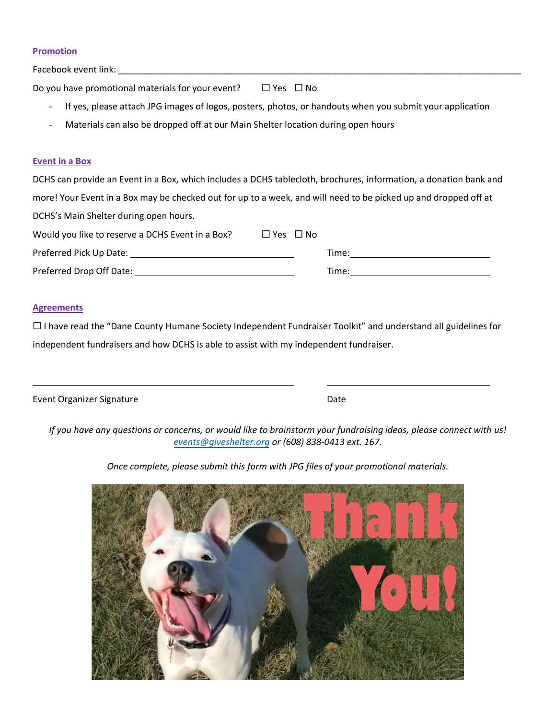#### **Promotion**

Facebook event link:

Do you have promotional materials for your event?  $\Box$  Yes  $\Box$  No

- If yes, please attach JPG images of logos, posters, photos, or handouts when you submit your application
- Materials can also be dropped off at our Main Shelter location during open hours

### **Event in a Box**

DCHS can provide an Event in a Box, which includes a DCHS tablecloth, brochures, information, a donation bank and more! Your Event in a Box may be checked out for up to a week, and will need to be picked up and dropped off at DCHS's Main Shelter during open hours.

| Would you like to reserve a DCHS Event in a Box? | □ Yes □ No |       |
|--------------------------------------------------|------------|-------|
| Preferred Pick Up Date:                          |            | Time: |
| Preferred Drop Off Date:                         |            | Time: |

### **Agreements**

 $\Box$  I have read the "Dane County Humane Society Independent Fundraiser Toolkit" and understand all guidelines for independent fundraisers and how DCHS is able to assist with my independent fundraiser.

| Event Organizer Signature | Date |
|---------------------------|------|
|---------------------------|------|

*If you have any questions or concerns, or would like to brainstorm your fundraising ideas, please connect with us! events[@giveshelter.org](mailto:acollins@giveshelter.org) or (608) 838-0413 ext. 167.* 

*Once complete, please submit this form with JPG files of your promotional materials.*